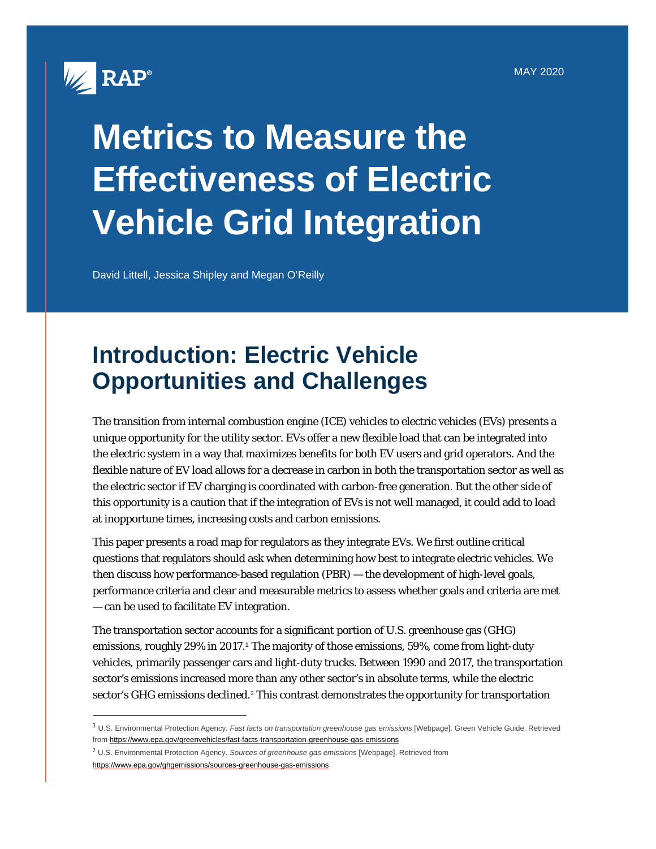

# **Metrics to Measure the Effectiveness of Electric Vehicle Grid Integration**

David Littell, Jessica Shipley and Megan O'Reilly

## **Introduction: Electric Vehicle Opportunities and Challenges**

The transition from internal combustion engine (ICE) vehicles to electric vehicles (EVs) presents a unique opportunity for the utility sector. EVs offer a new flexible load that can be integrated into the electric system in a way that maximizes benefits for both EV users and grid operators. And the flexible nature of EV load allows for a decrease in carbon in both the transportation sector as well as the electric sector if EV charging is coordinated with carbon-free generation. But the other side of this opportunity is a caution that if the integration of EVs is not well managed, it could add to load at inopportune times, increasing costs and carbon emissions.

This paper presents a road map for regulators as they integrate EVs. We first outline critical questions that regulators should ask when determining how best to integrate electric vehicles. We then discuss how performance-based regulation (PBR) — the development of high-level goals, performance criteria and clear and measurable metrics to assess whether goals and criteria are met — can be used to facilitate EV integration.

The transportation sector accounts for a significant portion of U.S. greenhouse gas (GHG) emissions, roughly 29% in 2017.[1](#page-0-0) The majority of those emissions, 59%, come from light-duty vehicles, primarily passenger cars and light-duty trucks. Between 1990 and 2017, the transportation sector's emissions increased more than any other sector's in absolute terms, while the electric sector's GHG emissions declined.<sup>[2](#page-0-1)</sup> This contrast demonstrates the opportunity for transportation

<span id="page-0-0"></span><sup>1</sup> U.S. Environmental Protection Agency. *Fast facts on transportation greenhouse gas emissions* [Webpage]. Green Vehicle Guide. Retrieved fro[m https://www.epa.gov/greenvehicles/fast-facts-transportation-greenhouse-gas-emissions](https://www.epa.gov/greenvehicles/fast-facts-transportation-greenhouse-gas-emissions)

<span id="page-0-1"></span><sup>2</sup> U.S. Environmental Protection Agency. *Sources of greenhouse gas emissions* [Webpage]. Retrieved from <https://www.epa.gov/ghgemissions/sources-greenhouse-gas-emissions>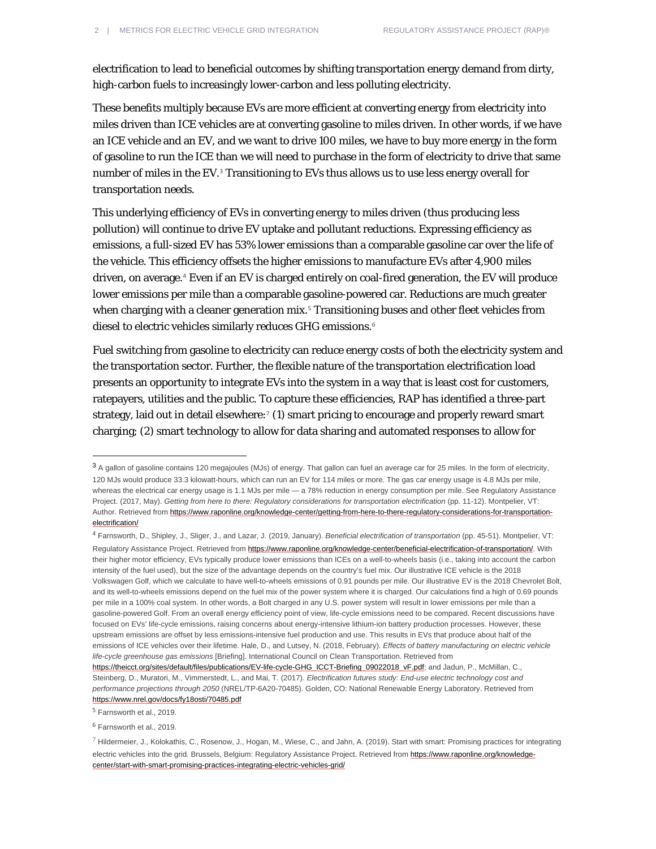electrification to lead to beneficial outcomes by shifting transportation energy demand from dirty, high-carbon fuels to increasingly lower-carbon and less polluting electricity.

These benefits multiply because EVs are more efficient at converting energy from electricity into miles driven than ICE vehicles are at converting gasoline to miles driven. In other words, if we have an ICE vehicle and an EV, and we want to drive 100 miles, we have to buy more energy in the form of gasoline to run the ICE than we will need to purchase in the form of electricity to drive that same number of miles in the EV.[3](#page-1-0) Transitioning to EVs thus allows us to use less energy overall for transportation needs.

This underlying efficiency of EVs in converting energy to miles driven (thus producing less pollution) will continue to drive EV uptake and pollutant reductions. Expressing efficiency as emissions, a full-sized EV has 53% lower emissions than a comparable gasoline car over the life of the vehicle. This efficiency offsets the higher emissions to manufacture EVs after 4,900 miles driven, on average.<sup>[4](#page-1-1)</sup> Even if an EV is charged entirely on coal-fired generation, the EV will produce lower emissions per mile than a comparable gasoline-powered car. Reductions are much greater when charging with a cleaner generation mix.<sup>[5](#page-1-2)</sup> Transitioning buses and other fleet vehicles from diesel to electric vehicles similarly reduces GHG emissions.[6](#page-1-3)

Fuel switching from gasoline to electricity can reduce energy costs of both the electricity system and the transportation sector. Further, the flexible nature of the transportation electrification load presents an opportunity to integrate EVs into the system in a way that is least cost for customers, ratepayers, utilities and the public. To capture these efficiencies, RAP has identified a three-part strategy, laid out in detail elsewhere:<sup>[7](#page-1-4)</sup> (1) smart pricing to encourage and properly reward smart charging; (2) smart technology to allow for data sharing and automated responses to allow for

<span id="page-1-0"></span><sup>3</sup> A gallon of gasoline contains 120 megajoules (MJs) of energy. That gallon can fuel an average car for 25 miles. In the form of electricity, 120 MJs would produce 33.3 kilowatt-hours, which can run an EV for 114 miles or more. The gas car energy usage is 4.8 MJs per mile, whereas the electrical car energy usage is 1.1 MJs per mile - a 78% reduction in energy consumption per mile. See Regulatory Assistance Project. (2017, May). Getting from here to there: Regulatory considerations for transportation electrification (pp. 11-12). Montpelier, VT: Author. Retrieved from [https://www.raponline.org/knowledge-center/getting-from-here-to-there-regulatory-considerations-for-transportation](https://www.raponline.org/knowledge-center/getting-from-here-to-there-regulatory-considerations-for-transportation-electrification/)[electrification/](https://www.raponline.org/knowledge-center/getting-from-here-to-there-regulatory-considerations-for-transportation-electrification/)

<span id="page-1-1"></span><sup>4</sup> Farnsworth, D., Shipley, J., Sliger, J., and Lazar, J. (2019, January). *Beneficial electrification of transportation* (pp. 45-51). Montpelier, VT: Regulatory Assistance Project. Retrieved fro[m https://www.raponline.org/knowledge-center/beneficial-electrification-of-transportation/.](https://www.raponline.org/knowledge-center/beneficial-electrification-of-transportation/) With their higher motor efficiency, EVs typically produce lower emissions than ICEs on a well-to-wheels basis (i.e., taking into account the carbon intensity of the fuel used), but the size of the advantage depends on the country's fuel mix. Our illustrative ICE vehicle is the 2018 Volkswagen Golf, which we calculate to have well-to-wheels emissions of 0.91 pounds per mile. Our illustrative EV is the 2018 Chevrolet Bolt, and its well-to-wheels emissions depend on the fuel mix of the power system where it is charged. Our calculations find a high of 0.69 pounds per mile in a 100% coal system. In other words, a Bolt charged in any U.S. power system will result in lower emissions per mile than a gasoline-powered Golf. From an overall energy efficiency point of view, life-cycle emissions need to be compared. Recent discussions have focused on EVs' life-cycle emissions, raising concerns about energy-intensive lithium-ion battery production processes. However, these upstream emissions are offset by less emissions-intensive fuel production and use. This results in EVs that produce about half of the emissions of ICE vehicles over their lifetime. Hale, D., and Lutsey, N. (2018, February). *Effects of battery manufacturing on electric vehicle life-cycle greenhouse gas emissions* [Briefing]. International Council on Clean Transportation. Retrieved from [https://theicct.org/sites/default/files/publications/EV-life-cycle-GHG\\_ICCT-Briefing\\_09022018\\_vF.pdf;](https://theicct.org/sites/default/files/publications/EV-life-cycle-GHG_ICCT-Briefing_09022018_vF.pdf) and Jadun, P., McMillan, C., Steinberg, D., Muratori, M., Vimmerstedt, L., and Mai, T. (2017). *Electrification futures study: End-use electric technology cost and performance projections through 2050* (NREL/TP-6A20-70485). Golden, CO: National Renewable Energy Laboratory. Retrieved from

<https://www.nrel.gov/docs/fy18osti/70485.pdf>

<span id="page-1-2"></span><sup>5</sup> Farnsworth et al., 2019.

<span id="page-1-3"></span><sup>6</sup> Farnsworth et al., 2019.

<span id="page-1-4"></span> $^7$  Hildermeier, J., Kolokathis, C., Rosenow, J., Hogan, M., Wiese, C., and Jahn, A. (2019). Start with smart: Promising practices for integrating electric vehicles into the grid. Brussels, Belgium: Regulatory Assistance Project. Retrieved from [https://www.raponline.org/knowledge](https://www.raponline.org/knowledge-center/start-with-smart-promising-practices-integrating-electric-vehicles-grid/)[center/start-with-smart-promising-practices-integrating-electric-vehicles-grid/](https://www.raponline.org/knowledge-center/start-with-smart-promising-practices-integrating-electric-vehicles-grid/)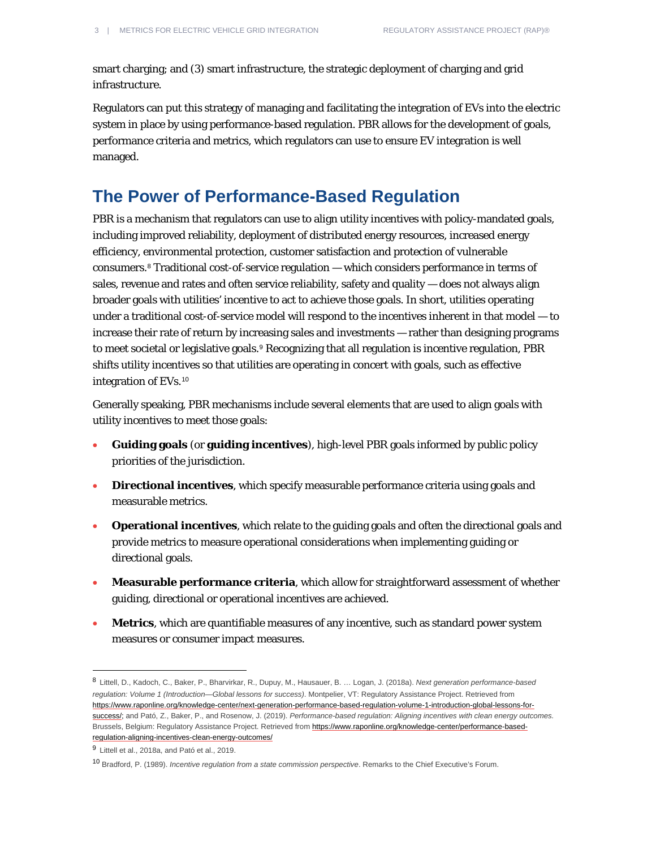smart charging; and (3) smart infrastructure, the strategic deployment of charging and grid infrastructure.

Regulators can put this strategy of managing and facilitating the integration of EVs into the electric system in place by using performance-based regulation. PBR allows for the development of goals, performance criteria and metrics, which regulators can use to ensure EV integration is well managed.

### **The Power of Performance-Based Regulation**

PBR is a mechanism that regulators can use to align utility incentives with policy-mandated goals, including improved reliability, deployment of distributed energy resources, increased energy efficiency, environmental protection, customer satisfaction and protection of vulnerable consumers.[8](#page-2-0) Traditional cost-of-service regulation — which considers performance in terms of sales, revenue and rates and often service reliability, safety and quality — does not always align broader goals with utilities' incentive to act to achieve those goals. In short, utilities operating under a traditional cost-of-service model will respond to the incentives inherent in that model — to increase their rate of return by increasing sales and investments — rather than designing programs to meet societal or legislative goals.<sup>[9](#page-2-1)</sup> Recognizing that all regulation is incentive regulation, PBR shifts utility incentives so that utilities are operating in concert with goals, such as effective integration of EVs.[10](#page-2-2)

Generally speaking, PBR mechanisms include several elements that are used to align goals with utility incentives to meet those goals:

- **Guiding goals** (or **guiding incentives**), high-level PBR goals informed by public policy priorities of the jurisdiction.
- **Directional incentives**, which specify measurable performance criteria using goals and measurable metrics.
- **Operational incentives**, which relate to the guiding goals and often the directional goals and provide metrics to measure operational considerations when implementing guiding or directional goals.
- **Measurable performance criteria**, which allow for straightforward assessment of whether guiding, directional or operational incentives are achieved.
- **Metrics**, which are quantifiable measures of any incentive, such as standard power system measures or consumer impact measures.

<span id="page-2-0"></span><sup>8</sup> Littell, D., Kadoch, C., Baker, P., Bharvirkar, R., Dupuy, M., Hausauer, B. … Logan, J. (2018a). *Next generation performance-based regulation: Volume 1 (Introduction—Global lessons for success)*. Montpelier, VT: Regulatory Assistance Project. Retrieved from [https://www.raponline.org/knowledge-center/next-generation-performance-based-regulation-volume-1-introduction-global-lessons-for](https://www.raponline.org/knowledge-center/next-generation-performance-based-regulation-volume-1-introduction-global-lessons-for-success/)[success/;](https://www.raponline.org/knowledge-center/next-generation-performance-based-regulation-volume-1-introduction-global-lessons-for-success/) and Pató, Z., Baker, P., and Rosenow, J. (2019). *Performance-based regulation: Aligning incentives with clean energy outcomes.*  Brussels, Belgium: Regulatory Assistance Project. Retrieved from [https://www.raponline.org/knowledge-center/performance-based](https://www.raponline.org/knowledge-center/performance-based-regulation-aligning-incentives-clean-energy-outcomes/)[regulation-aligning-incentives-clean-energy-outcomes/](https://www.raponline.org/knowledge-center/performance-based-regulation-aligning-incentives-clean-energy-outcomes/)

<span id="page-2-1"></span><sup>9</sup> Littell et al., 2018a, and Pató et al., 2019.

<span id="page-2-2"></span><sup>10</sup> Bradford, P. (1989). *Incentive regulation from a state commission perspective*. Remarks to the Chief Executive's Forum.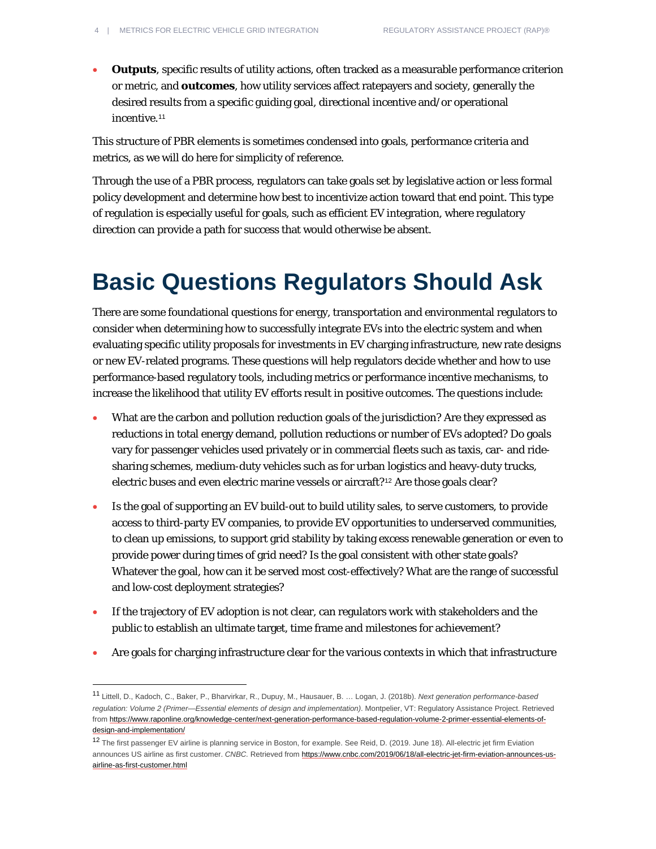• **Outputs**, specific results of utility actions, often tracked as a measurable performance criterion or metric, and **outcomes**, how utility services affect ratepayers and society, generally the desired results from a specific guiding goal, directional incentive and/or operational incentive.[11](#page-3-0)

This structure of PBR elements is sometimes condensed into goals, performance criteria and metrics, as we will do here for simplicity of reference.

Through the use of a PBR process, regulators can take goals set by legislative action or less formal policy development and determine how best to incentivize action toward that end point. This type of regulation is especially useful for goals, such as efficient EV integration, where regulatory direction can provide a path for success that would otherwise be absent.

# **Basic Questions Regulators Should Ask**

There are some foundational questions for energy, transportation and environmental regulators to consider when determining how to successfully integrate EVs into the electric system and when evaluating specific utility proposals for investments in EV charging infrastructure, new rate designs or new EV-related programs. These questions will help regulators decide whether and how to use performance-based regulatory tools, including metrics or performance incentive mechanisms, to increase the likelihood that utility EV efforts result in positive outcomes. The questions include:

- What are the carbon and pollution reduction goals of the jurisdiction? Are they expressed as reductions in total energy demand, pollution reductions or number of EVs adopted? Do goals vary for passenger vehicles used privately or in commercial fleets such as taxis, car- and ridesharing schemes, medium-duty vehicles such as for urban logistics and heavy-duty trucks, electric buses and even electric marine vessels or aircraft?[12](#page-3-1) Are those goals clear?
- Is the goal of supporting an EV build-out to build utility sales, to serve customers, to provide access to third-party EV companies, to provide EV opportunities to underserved communities, to clean up emissions, to support grid stability by taking excess renewable generation or even to provide power during times of grid need? Is the goal consistent with other state goals? Whatever the goal, how can it be served most cost-effectively? What are the range of successful and low-cost deployment strategies?
- If the trajectory of EV adoption is not clear, can regulators work with stakeholders and the public to establish an ultimate target, time frame and milestones for achievement?
- Are goals for charging infrastructure clear for the various contexts in which that infrastructure

<span id="page-3-0"></span><sup>11</sup> Littell, D., Kadoch, C., Baker, P., Bharvirkar, R., Dupuy, M., Hausauer, B. … Logan, J. (2018b). *Next generation performance-based regulation: Volume 2 (Primer—Essential elements of design and implementation)*. Montpelier, VT: Regulatory Assistance Project. Retrieved fro[m https://www.raponline.org/knowledge-center/next-generation-performance-based-regulation-volume-2-primer-essential-elements-of](https://www.raponline.org/knowledge-center/next-generation-performance-based-regulation-volume-2-primer-essential-elements-of-design-and-implementation/)[design-and-implementation/](https://www.raponline.org/knowledge-center/next-generation-performance-based-regulation-volume-2-primer-essential-elements-of-design-and-implementation/)

<span id="page-3-1"></span><sup>&</sup>lt;sup>12</sup> The first passenger EV airline is planning service in Boston, for example. See Reid, D. (2019. June 18). All-electric jet firm Eviation announces US airline as first customer. *CNBC.* Retrieved fro[m https://www.cnbc.com/2019/06/18/all-electric-jet-firm-eviation-announces-us](https://www.cnbc.com/2019/06/18/all-electric-jet-firm-eviation-announces-us-airline-as-first-customer.html)[airline-as-first-customer.html](https://www.cnbc.com/2019/06/18/all-electric-jet-firm-eviation-announces-us-airline-as-first-customer.html)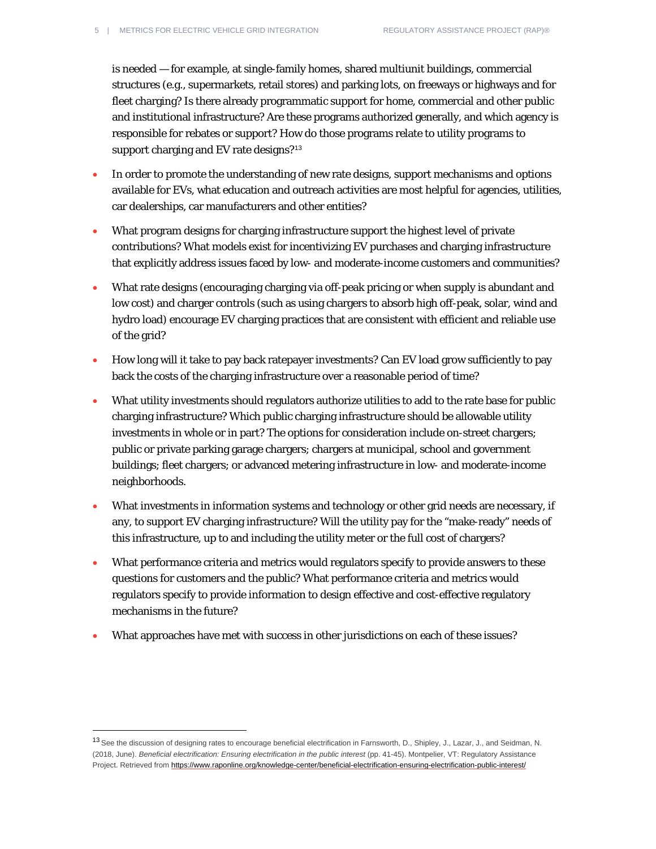is needed — for example, at single-family homes, shared multiunit buildings, commercial structures (e.g., supermarkets, retail stores) and parking lots, on freeways or highways and for fleet charging? Is there already programmatic support for home, commercial and other public and institutional infrastructure? Are these programs authorized generally, and which agency is responsible for rebates or support? How do those programs relate to utility programs to support charging and EV rate designs?<sup>[13](#page-4-0)</sup>

- In order to promote the understanding of new rate designs, support mechanisms and options available for EVs, what education and outreach activities are most helpful for agencies, utilities, car dealerships, car manufacturers and other entities?
- What program designs for charging infrastructure support the highest level of private contributions? What models exist for incentivizing EV purchases and charging infrastructure that explicitly address issues faced by low- and moderate-income customers and communities?
- What rate designs (encouraging charging via off-peak pricing or when supply is abundant and low cost) and charger controls (such as using chargers to absorb high off-peak, solar, wind and hydro load) encourage EV charging practices that are consistent with efficient and reliable use of the grid?
- How long will it take to pay back ratepayer investments? Can EV load grow sufficiently to pay back the costs of the charging infrastructure over a reasonable period of time?
- What utility investments should regulators authorize utilities to add to the rate base for public charging infrastructure? Which public charging infrastructure should be allowable utility investments in whole or in part? The options for consideration include on-street chargers; public or private parking garage chargers; chargers at municipal, school and government buildings; fleet chargers; or advanced metering infrastructure in low- and moderate-income neighborhoods.
- What investments in information systems and technology or other grid needs are necessary, if any, to support EV charging infrastructure? Will the utility pay for the "make-ready" needs of this infrastructure, up to and including the utility meter or the full cost of chargers?
- What performance criteria and metrics would regulators specify to provide answers to these questions for customers and the public? What performance criteria and metrics would regulators specify to provide information to design effective and cost-effective regulatory mechanisms in the future?
- What approaches have met with success in other jurisdictions on each of these issues?

<span id="page-4-0"></span><sup>&</sup>lt;sup>13</sup> See the discussion of designing rates to encourage beneficial electrification in Farnsworth, D., Shipley, J., Lazar, J., and Seidman, N. (2018, June). *Beneficial electrification: Ensuring electrification in the public interest* (pp. 41-45). Montpelier, VT: Regulatory Assistance Project. Retrieved fro[m https://www.raponline.org/knowledge-center/beneficial-electrification-ensuring-electrification-public-interest/](https://www.raponline.org/knowledge-center/beneficial-electrification-ensuring-electrification-public-interest/)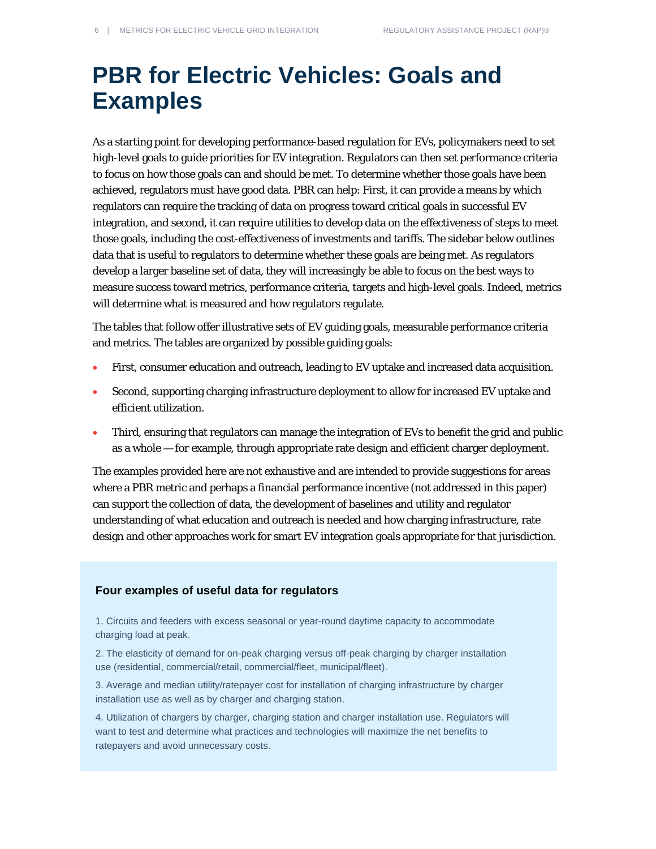## **PBR for Electric Vehicles: Goals and Examples**

As a starting point for developing performance-based regulation for EVs, policymakers need to set high-level goals to guide priorities for EV integration. Regulators can then set performance criteria to focus on how those goals can and should be met. To determine whether those goals have been achieved, regulators must have good data. PBR can help: First, it can provide a means by which regulators can require the tracking of data on progress toward critical goals in successful EV integration, and second, it can require utilities to develop data on the effectiveness of steps to meet those goals, including the cost-effectiveness of investments and tariffs. The sidebar below outlines data that is useful to regulators to determine whether these goals are being met. As regulators develop a larger baseline set of data, they will increasingly be able to focus on the best ways to measure success toward metrics, performance criteria, targets and high-level goals. Indeed, metrics will determine what is measured and how regulators regulate.

The tables that follow offer illustrative sets of EV guiding goals, measurable performance criteria and metrics. The tables are organized by possible guiding goals:

- First, consumer education and outreach, leading to EV uptake and increased data acquisition.
- Second, supporting charging infrastructure deployment to allow for increased EV uptake and efficient utilization.
- Third, ensuring that regulators can manage the integration of EVs to benefit the grid and public as a whole — for example, through appropriate rate design and efficient charger deployment.

The examples provided here are not exhaustive and are intended to provide suggestions for areas where a PBR metric and perhaps a financial performance incentive (not addressed in this paper) can support the collection of data, the development of baselines and utility and regulator understanding of what education and outreach is needed and how charging infrastructure, rate design and other approaches work for smart EV integration goals appropriate for that jurisdiction.

#### **Four examples of useful data for regulators**

1. Circuits and feeders with excess seasonal or year-round daytime capacity to accommodate charging load at peak.

2. The elasticity of demand for on-peak charging versus off-peak charging by charger installation use (residential, commercial/retail, commercial/fleet, municipal/fleet).

3. Average and median utility/ratepayer cost for installation of charging infrastructure by charger installation use as well as by charger and charging station.

4. Utilization of chargers by charger, charging station and charger installation use. Regulators will want to test and determine what practices and technologies will maximize the net benefits to ratepayers and avoid unnecessary costs.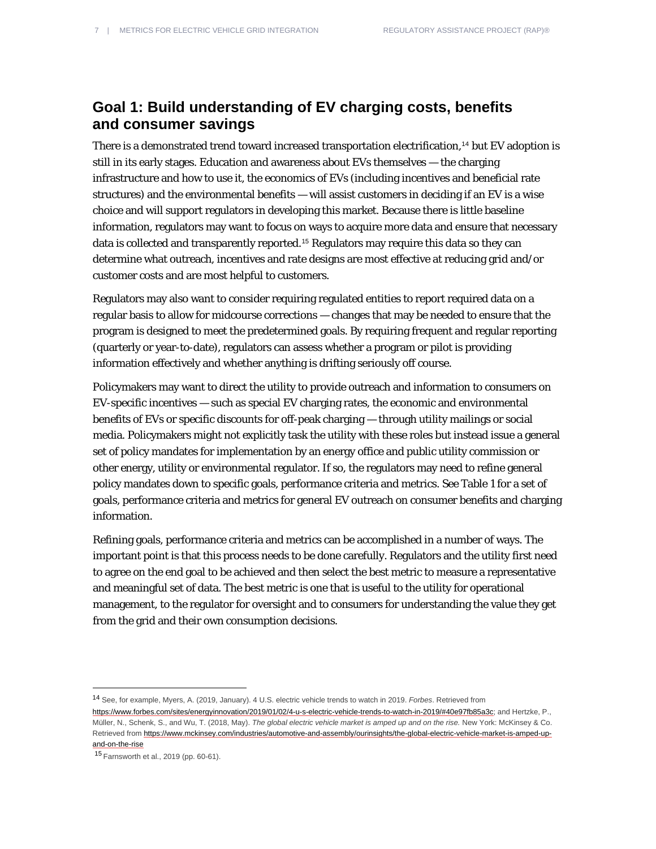#### **Goal 1: Build understanding of EV charging costs, benefits and consumer savings**

There is a demonstrated trend toward increased transportation electrification,[14](#page-6-0) but EV adoption is still in its early stages. Education and awareness about EVs themselves — the charging infrastructure and how to use it, the economics of EVs (including incentives and beneficial rate structures) and the environmental benefits — will assist customers in deciding if an EV is a wise choice and will support regulators in developing this market. Because there is little baseline information, regulators may want to focus on ways to acquire more data and ensure that necessary data is collected and transparently reported.[15](#page-6-1) Regulators may require this data so they can determine what outreach, incentives and rate designs are most effective at reducing grid and/or customer costs and are most helpful to customers.

Regulators may also want to consider requiring regulated entities to report required data on a regular basis to allow for midcourse corrections — changes that may be needed to ensure that the program is designed to meet the predetermined goals. By requiring frequent and regular reporting (quarterly or year-to-date), regulators can assess whether a program or pilot is providing information effectively and whether anything is drifting seriously off course.

Policymakers may want to direct the utility to provide outreach and information to consumers on EV-specific incentives — such as special EV charging rates, the economic and environmental benefits of EVs or specific discounts for off-peak charging — through utility mailings or social media. Policymakers might not explicitly task the utility with these roles but instead issue a general set of policy mandates for implementation by an energy office and public utility commission or other energy, utility or environmental regulator. If so, the regulators may need to refine general policy mandates down to specific goals, performance criteria and metrics. See Table 1 for a set of goals, performance criteria and metrics for general EV outreach on consumer benefits and charging information.

Refining goals, performance criteria and metrics can be accomplished in a number of ways. The important point is that this process needs to be done carefully. Regulators and the utility first need to agree on the end goal to be achieved and then select the best metric to measure a representative and meaningful set of data. The best metric is one that is useful to the utility for operational management, to the regulator for oversight and to consumers for understanding the value they get from the grid and their own consumption decisions.

<span id="page-6-0"></span><sup>14</sup> See, for example, Myers, A. (2019, January). 4 U.S. electric vehicle trends to watch in 2019. *Forbes*. Retrieved from [https://www.forbes.com/sites/energyinnovation/2019/01/02/4-u-s-electric-vehicle-trends-to-watch-in-2019/#40e97fb85a3c;](https://www.forbes.com/sites/energyinnovation/2019/01/02/4-u-s-electric-vehicle-trends-to-watch-in-2019/#40e97fb85a3c) and Hertzke, P., Müller, N., Schenk, S., and Wu, T. (2018, May). *The global electric vehicle market is amped up and on the rise.* New York: McKinsey & Co. Retrieved fro[m https://www.mckinsey.com/industries/automotive-and-assembly/ourinsights/the-global-electric-vehicle-market-is-amped-up](https://www.mckinsey.com/industries/automotive-and-assembly/ourinsights/the-global-electric-vehicle-market-is-amped-up-and-on-the-rise)[and-on-the-rise](https://www.mckinsey.com/industries/automotive-and-assembly/ourinsights/the-global-electric-vehicle-market-is-amped-up-and-on-the-rise)

<span id="page-6-1"></span><sup>15</sup> Farnsworth et al., 2019 (pp. 60-61).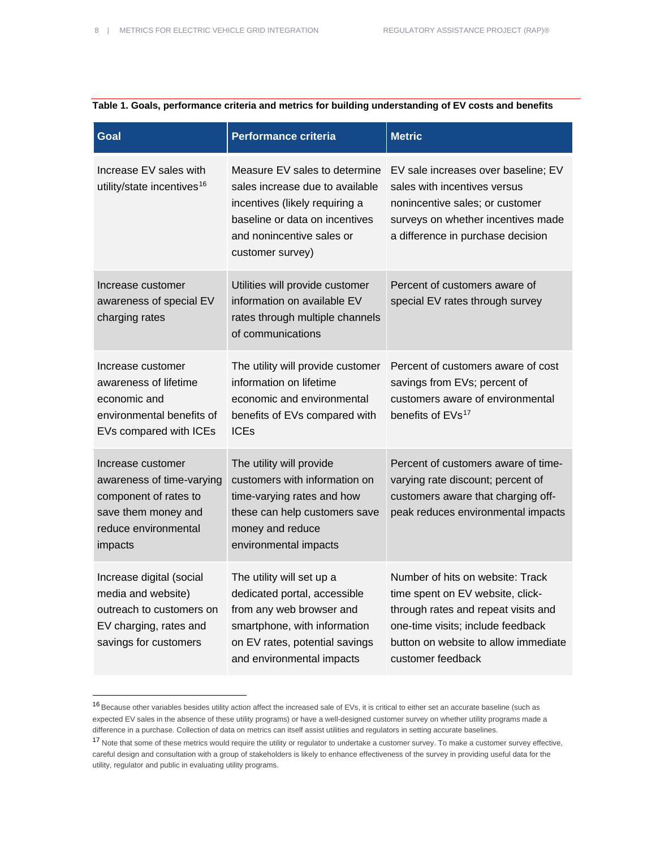**Table 1. Goals, performance criteria and metrics for building understanding of EV costs and benefits** 

| Goal                                                                                                                              | <b>Performance criteria</b>                                                                                                                                                           | <b>Metric</b>                                                                                                                                                                                                 |
|-----------------------------------------------------------------------------------------------------------------------------------|---------------------------------------------------------------------------------------------------------------------------------------------------------------------------------------|---------------------------------------------------------------------------------------------------------------------------------------------------------------------------------------------------------------|
| Increase EV sales with<br>utility/state incentives <sup>16</sup>                                                                  | Measure EV sales to determine<br>sales increase due to available<br>incentives (likely requiring a<br>baseline or data on incentives<br>and nonincentive sales or<br>customer survey) | EV sale increases over baseline; EV<br>sales with incentives versus<br>nonincentive sales; or customer<br>surveys on whether incentives made<br>a difference in purchase decision                             |
| Increase customer<br>awareness of special EV<br>charging rates                                                                    | Utilities will provide customer<br>information on available EV<br>rates through multiple channels<br>of communications                                                                | Percent of customers aware of<br>special EV rates through survey                                                                                                                                              |
| Increase customer<br>awareness of lifetime<br>economic and<br>environmental benefits of<br>EVs compared with ICEs                 | The utility will provide customer<br>information on lifetime<br>economic and environmental<br>benefits of EVs compared with<br><b>ICEs</b>                                            | Percent of customers aware of cost<br>savings from EVs; percent of<br>customers aware of environmental<br>benefits of EVs <sup>17</sup>                                                                       |
| Increase customer<br>awareness of time-varying<br>component of rates to<br>save them money and<br>reduce environmental<br>impacts | The utility will provide<br>customers with information on<br>time-varying rates and how<br>these can help customers save<br>money and reduce<br>environmental impacts                 | Percent of customers aware of time-<br>varying rate discount; percent of<br>customers aware that charging off-<br>peak reduces environmental impacts                                                          |
| Increase digital (social<br>media and website)<br>outreach to customers on<br>EV charging, rates and<br>savings for customers     | The utility will set up a<br>dedicated portal, accessible<br>from any web browser and<br>smartphone, with information<br>on EV rates, potential savings<br>and environmental impacts  | Number of hits on website: Track<br>time spent on EV website, click-<br>through rates and repeat visits and<br>one-time visits; include feedback<br>button on website to allow immediate<br>customer feedback |

<span id="page-7-0"></span><sup>16</sup> Because other variables besides utility action affect the increased sale of EVs, it is critical to either set an accurate baseline (such as expected EV sales in the absence of these utility programs) or have a well-designed customer survey on whether utility programs made a difference in a purchase. Collection of data on metrics can itself assist utilities and regulators in setting accurate baselines.

<span id="page-7-1"></span><sup>17</sup> Note that some of these metrics would require the utility or regulator to undertake a customer survey. To make a customer survey effective, careful design and consultation with a group of stakeholders is likely to enhance effectiveness of the survey in providing useful data for the utility, regulator and public in evaluating utility programs.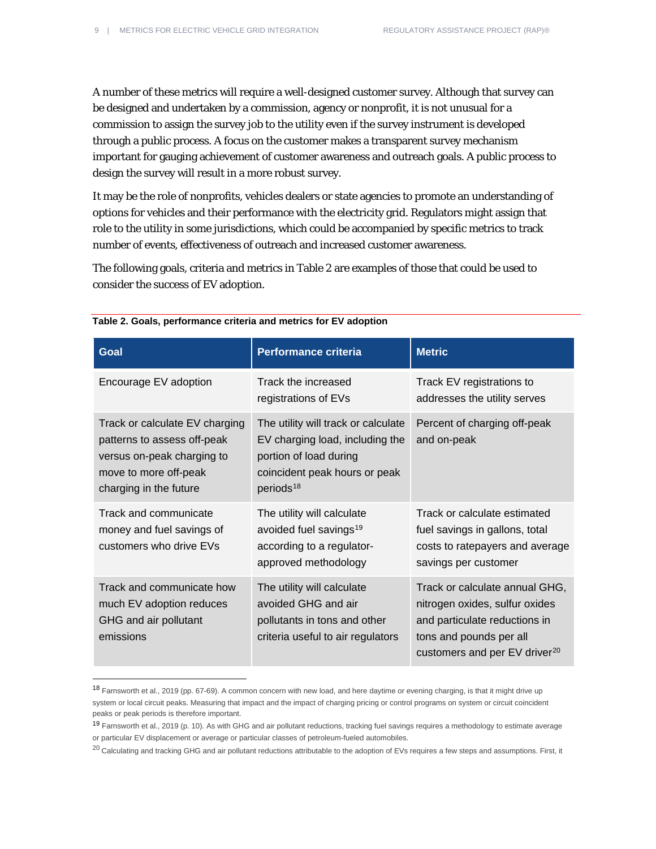A number of these metrics will require a well-designed customer survey. Although that survey can be designed and undertaken by a commission, agency or nonprofit, it is not unusual for a commission to assign the survey job to the utility even if the survey instrument is developed through a public process. A focus on the customer makes a transparent survey mechanism important for gauging achievement of customer awareness and outreach goals. A public process to design the survey will result in a more robust survey.

It may be the role of nonprofits, vehicles dealers or state agencies to promote an understanding of options for vehicles and their performance with the electricity grid. Regulators might assign that role to the utility in some jurisdictions, which could be accompanied by specific metrics to track number of events, effectiveness of outreach and increased customer awareness.

The following goals, criteria and metrics in Table 2 are examples of those that could be used to consider the success of EV adoption.

| Goal                                                                                                                                           | <b>Performance criteria</b>                                                                                                                                | <b>Metric</b>                                                                                                                                                             |
|------------------------------------------------------------------------------------------------------------------------------------------------|------------------------------------------------------------------------------------------------------------------------------------------------------------|---------------------------------------------------------------------------------------------------------------------------------------------------------------------------|
| Encourage EV adoption                                                                                                                          | Track the increased<br>registrations of EVs                                                                                                                | Track EV registrations to<br>addresses the utility serves                                                                                                                 |
| Track or calculate EV charging<br>patterns to assess off-peak<br>versus on-peak charging to<br>move to more off-peak<br>charging in the future | The utility will track or calculate<br>EV charging load, including the<br>portion of load during<br>coincident peak hours or peak<br>periods <sup>18</sup> | Percent of charging off-peak<br>and on-peak                                                                                                                               |
| Track and communicate<br>money and fuel savings of<br>customers who drive EVs                                                                  | The utility will calculate<br>avoided fuel savings <sup>19</sup><br>according to a regulator-<br>approved methodology                                      | Track or calculate estimated<br>fuel savings in gallons, total<br>costs to ratepayers and average<br>savings per customer                                                 |
| Track and communicate how<br>much EV adoption reduces<br>GHG and air pollutant<br>emissions                                                    | The utility will calculate<br>avoided GHG and air<br>pollutants in tons and other<br>criteria useful to air regulators                                     | Track or calculate annual GHG,<br>nitrogen oxides, sulfur oxides<br>and particulate reductions in<br>tons and pounds per all<br>customers and per EV driver <sup>20</sup> |

#### **Table 2. Goals, performance criteria and metrics for EV adoption**

<span id="page-8-0"></span><sup>18</sup> Farnsworth et al., 2019 (pp. 67-69). A common concern with new load, and here daytime or evening charging, is that it might drive up system or local circuit peaks. Measuring that impact and the impact of charging pricing or control programs on system or circuit coincident peaks or peak periods is therefore important.

<span id="page-8-1"></span><sup>19</sup> Farnsworth et al., 2019 (p. 10). As with GHG and air pollutant reductions, tracking fuel savings requires a methodology to estimate average or particular EV displacement or average or particular classes of petroleum-fueled automobiles.

<span id="page-8-2"></span> $^{20}$  Calculating and tracking GHG and air pollutant reductions attributable to the adoption of EVs requires a few steps and assumptions. First, it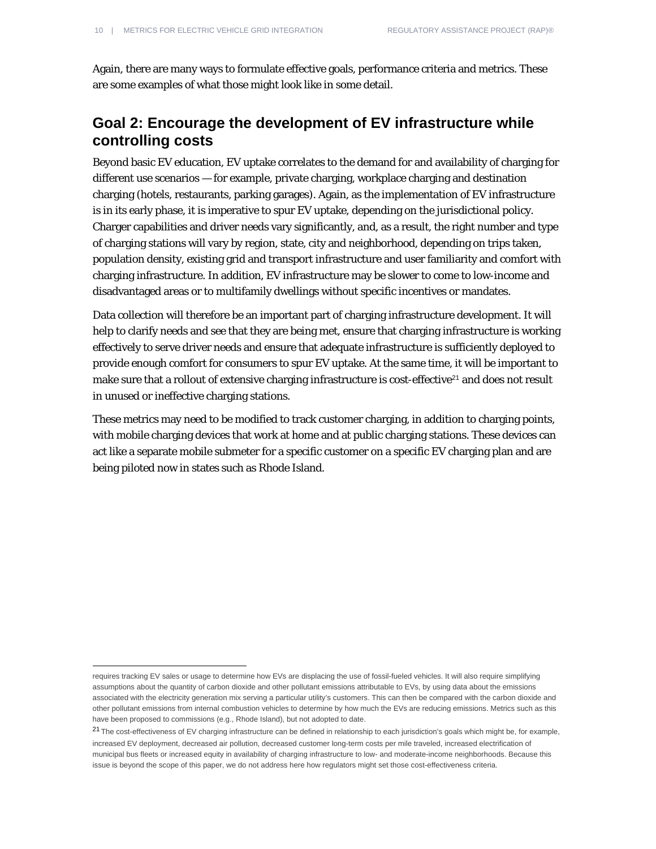Again, there are many ways to formulate effective goals, performance criteria and metrics. These are some examples of what those might look like in some detail.

### **Goal 2: Encourage the development of EV infrastructure while controlling costs**

Beyond basic EV education, EV uptake correlates to the demand for and availability of charging for different use scenarios — for example, private charging, workplace charging and destination charging (hotels, restaurants, parking garages). Again, as the implementation of EV infrastructure is in its early phase, it is imperative to spur EV uptake, depending on the jurisdictional policy. Charger capabilities and driver needs vary significantly, and, as a result, the right number and type of charging stations will vary by region, state, city and neighborhood, depending on trips taken, population density, existing grid and transport infrastructure and user familiarity and comfort with charging infrastructure. In addition, EV infrastructure may be slower to come to low-income and disadvantaged areas or to multifamily dwellings without specific incentives or mandates.

Data collection will therefore be an important part of charging infrastructure development. It will help to clarify needs and see that they are being met, ensure that charging infrastructure is working effectively to serve driver needs and ensure that adequate infrastructure is sufficiently deployed to provide enough comfort for consumers to spur EV uptake. At the same time, it will be important to make sure that a rollout of extensive charging infrastructure is cost-effective<sup>[21](#page-9-0)</sup> and does not result in unused or ineffective charging stations.

These metrics may need to be modified to track customer charging, in addition to charging points, with mobile charging devices that work at home and at public charging stations. These devices can act like a separate mobile submeter for a specific customer on a specific EV charging plan and are being piloted now in states such as Rhode Island.

requires tracking EV sales or usage to determine how EVs are displacing the use of fossil-fueled vehicles. It will also require simplifying assumptions about the quantity of carbon dioxide and other pollutant emissions attributable to EVs, by using data about the emissions associated with the electricity generation mix serving a particular utility's customers. This can then be compared with the carbon dioxide and other pollutant emissions from internal combustion vehicles to determine by how much the EVs are reducing emissions. Metrics such as this have been proposed to commissions (e.g., Rhode Island), but not adopted to date.

<span id="page-9-0"></span><sup>21</sup> The cost-effectiveness of EV charging infrastructure can be defined in relationship to each jurisdiction's goals which might be, for example, increased EV deployment, decreased air pollution, decreased customer long-term costs per mile traveled, increased electrification of municipal bus fleets or increased equity in availability of charging infrastructure to low- and moderate-income neighborhoods. Because this issue is beyond the scope of this paper, we do not address here how regulators might set those cost-effectiveness criteria.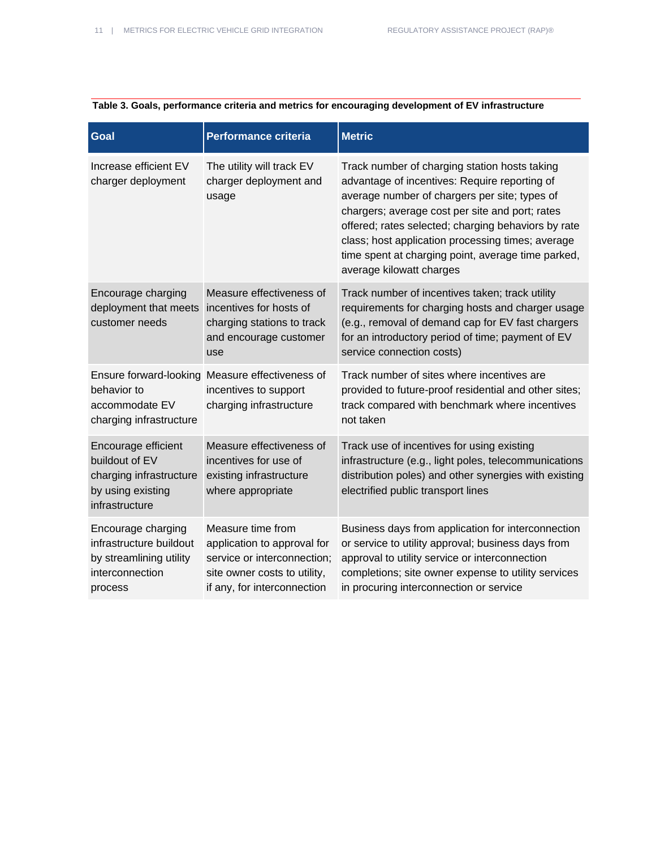| Goal                                                                                                    | <b>Performance criteria</b>                                                                                                                    | <b>Metric</b>                                                                                                                                                                                                                                                                                                                                                                                    |
|---------------------------------------------------------------------------------------------------------|------------------------------------------------------------------------------------------------------------------------------------------------|--------------------------------------------------------------------------------------------------------------------------------------------------------------------------------------------------------------------------------------------------------------------------------------------------------------------------------------------------------------------------------------------------|
| Increase efficient EV<br>charger deployment                                                             | The utility will track EV<br>charger deployment and<br>usage                                                                                   | Track number of charging station hosts taking<br>advantage of incentives: Require reporting of<br>average number of chargers per site; types of<br>chargers; average cost per site and port; rates<br>offered; rates selected; charging behaviors by rate<br>class; host application processing times; average<br>time spent at charging point, average time parked,<br>average kilowatt charges |
| Encourage charging<br>deployment that meets<br>customer needs                                           | Measure effectiveness of<br>incentives for hosts of<br>charging stations to track<br>and encourage customer<br>use                             | Track number of incentives taken; track utility<br>requirements for charging hosts and charger usage<br>(e.g., removal of demand cap for EV fast chargers<br>for an introductory period of time; payment of EV<br>service connection costs)                                                                                                                                                      |
| behavior to<br>accommodate EV<br>charging infrastructure                                                | Ensure forward-looking Measure effectiveness of<br>incentives to support<br>charging infrastructure                                            | Track number of sites where incentives are<br>provided to future-proof residential and other sites;<br>track compared with benchmark where incentives<br>not taken                                                                                                                                                                                                                               |
| Encourage efficient<br>buildout of EV<br>charging infrastructure<br>by using existing<br>infrastructure | Measure effectiveness of<br>incentives for use of<br>existing infrastructure<br>where appropriate                                              | Track use of incentives for using existing<br>infrastructure (e.g., light poles, telecommunications<br>distribution poles) and other synergies with existing<br>electrified public transport lines                                                                                                                                                                                               |
| Encourage charging<br>infrastructure buildout<br>by streamlining utility<br>interconnection<br>process  | Measure time from<br>application to approval for<br>service or interconnection;<br>site owner costs to utility,<br>if any, for interconnection | Business days from application for interconnection<br>or service to utility approval; business days from<br>approval to utility service or interconnection<br>completions; site owner expense to utility services<br>in procuring interconnection or service                                                                                                                                     |

**Table 3. Goals, performance criteria and metrics for encouraging development of EV infrastructure**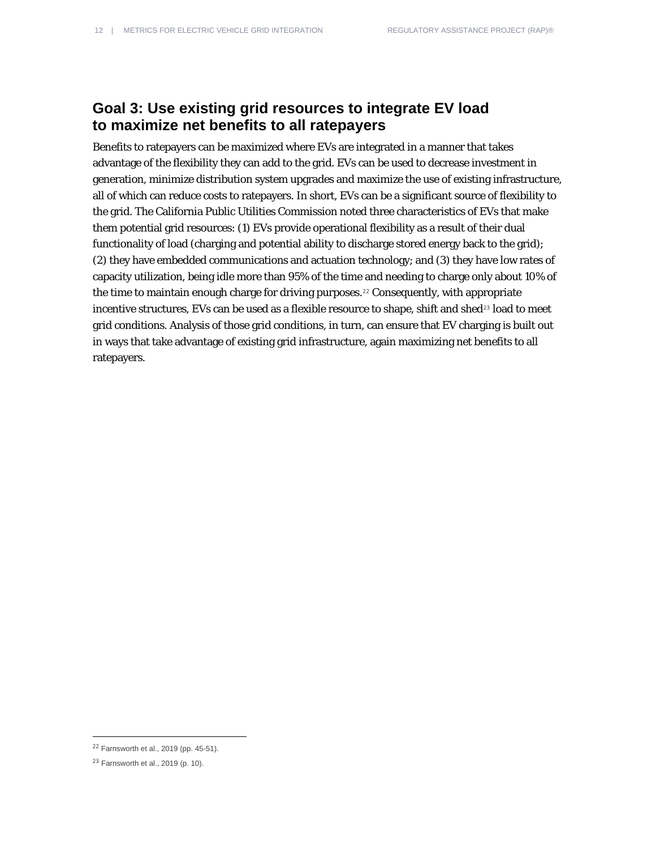### **Goal 3: Use existing grid resources to integrate EV load to maximize net benefits to all ratepayers**

Benefits to ratepayers can be maximized where EVs are integrated in a manner that takes advantage of the flexibility they can add to the grid. EVs can be used to decrease investment in generation, minimize distribution system upgrades and maximize the use of existing infrastructure, all of which can reduce costs to ratepayers. In short, EVs can be a significant source of flexibility to the grid. The California Public Utilities Commission noted three characteristics of EVs that make them potential grid resources: (1) EVs provide operational flexibility as a result of their dual functionality of load (charging and potential ability to discharge stored energy back to the grid); (2) they have embedded communications and actuation technology; and (3) they have low rates of capacity utilization, being idle more than 95% of the time and needing to charge only about 10% of the time to maintain enough charge for driving purposes.<sup>[22](#page-11-0)</sup> Consequently, with appropriate incentive structures, EVs can be used as a flexible resource to shape, shift and shed $^{23}$  $^{23}$  $^{23}$  load to meet grid conditions. Analysis of those grid conditions, in turn, can ensure that EV charging is built out in ways that take advantage of existing grid infrastructure, again maximizing net benefits to all ratepayers.

<span id="page-11-0"></span><sup>22</sup> Farnsworth et al., 2019 (pp. 45-51).

<span id="page-11-1"></span><sup>23</sup> Farnsworth et al., 2019 (p. 10).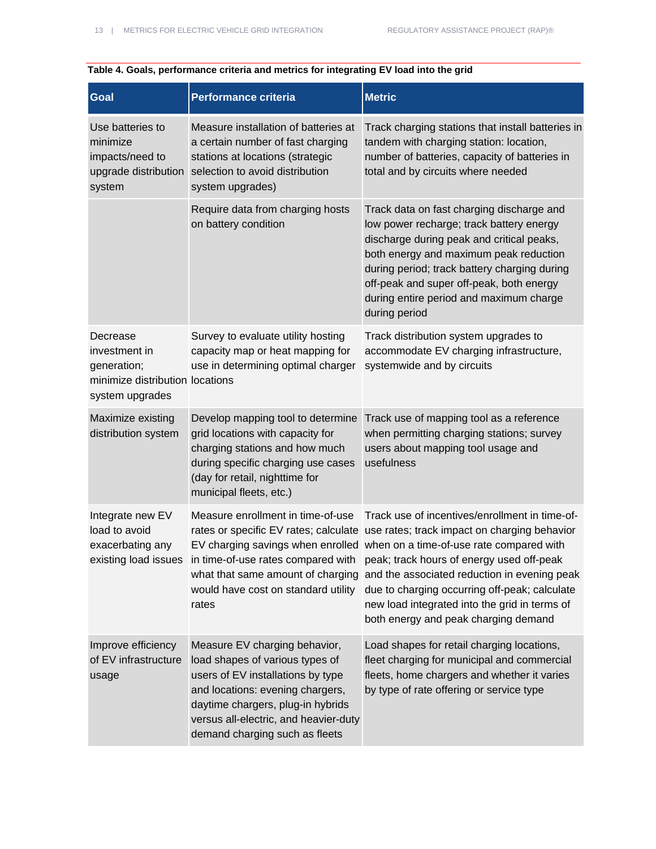| Goal                                                                                           | <b>Performance criteria</b>                                                                                                                                                                                                                               | <b>Metric</b>                                                                                                                                                                                                                                                                                                                                                                                                                                                                                                                                                                         |
|------------------------------------------------------------------------------------------------|-----------------------------------------------------------------------------------------------------------------------------------------------------------------------------------------------------------------------------------------------------------|---------------------------------------------------------------------------------------------------------------------------------------------------------------------------------------------------------------------------------------------------------------------------------------------------------------------------------------------------------------------------------------------------------------------------------------------------------------------------------------------------------------------------------------------------------------------------------------|
| Use batteries to<br>minimize<br>impacts/need to<br>upgrade distribution<br>system              | Measure installation of batteries at<br>a certain number of fast charging<br>stations at locations (strategic<br>selection to avoid distribution<br>system upgrades)                                                                                      | Track charging stations that install batteries in<br>tandem with charging station: location,<br>number of batteries, capacity of batteries in<br>total and by circuits where needed                                                                                                                                                                                                                                                                                                                                                                                                   |
|                                                                                                | Require data from charging hosts<br>on battery condition                                                                                                                                                                                                  | Track data on fast charging discharge and<br>low power recharge; track battery energy<br>discharge during peak and critical peaks,<br>both energy and maximum peak reduction<br>during period; track battery charging during<br>off-peak and super off-peak, both energy<br>during entire period and maximum charge<br>during period                                                                                                                                                                                                                                                  |
| Decrease<br>investment in<br>generation;<br>minimize distribution locations<br>system upgrades | Survey to evaluate utility hosting<br>capacity map or heat mapping for<br>use in determining optimal charger                                                                                                                                              | Track distribution system upgrades to<br>accommodate EV charging infrastructure,<br>systemwide and by circuits                                                                                                                                                                                                                                                                                                                                                                                                                                                                        |
| Maximize existing<br>distribution system                                                       | Develop mapping tool to determine<br>grid locations with capacity for<br>charging stations and how much<br>during specific charging use cases<br>(day for retail, nighttime for<br>municipal fleets, etc.)                                                | Track use of mapping tool as a reference<br>when permitting charging stations; survey<br>users about mapping tool usage and<br>usefulness                                                                                                                                                                                                                                                                                                                                                                                                                                             |
| Integrate new EV<br>load to avoid<br>exacerbating any                                          | would have cost on standard utility<br>rates                                                                                                                                                                                                              | Measure enrollment in time-of-use Track use of incentives/enrollment in time-of-<br>rates or specific EV rates; calculate use rates; track impact on charging behavior<br>EV charging savings when enrolled when on a time-of-use rate compared with<br>existing load issues in time-of-use rates compared with peak; track hours of energy used off-peak<br>what that same amount of charging and the associated reduction in evening peak<br>due to charging occurring off-peak; calculate<br>new load integrated into the grid in terms of<br>both energy and peak charging demand |
| Improve efficiency<br>of EV infrastructure<br>usage                                            | Measure EV charging behavior,<br>load shapes of various types of<br>users of EV installations by type<br>and locations: evening chargers,<br>daytime chargers, plug-in hybrids<br>versus all-electric, and heavier-duty<br>demand charging such as fleets | Load shapes for retail charging locations,<br>fleet charging for municipal and commercial<br>fleets, home chargers and whether it varies<br>by type of rate offering or service type                                                                                                                                                                                                                                                                                                                                                                                                  |

#### **Table 4. Goals, performance criteria and metrics for integrating EV load into the grid**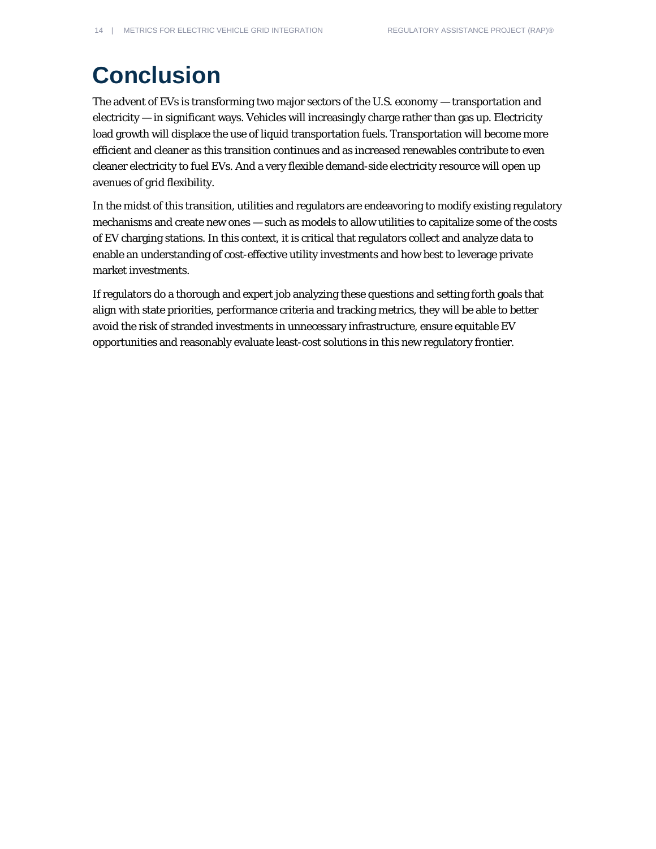# **Conclusion**

The advent of EVs is transforming two major sectors of the U.S. economy — transportation and electricity — in significant ways. Vehicles will increasingly charge rather than gas up. Electricity load growth will displace the use of liquid transportation fuels. Transportation will become more efficient and cleaner as this transition continues and as increased renewables contribute to even cleaner electricity to fuel EVs. And a very flexible demand-side electricity resource will open up avenues of grid flexibility.

In the midst of this transition, utilities and regulators are endeavoring to modify existing regulatory mechanisms and create new ones — such as models to allow utilities to capitalize some of the costs of EV charging stations. In this context, it is critical that regulators collect and analyze data to enable an understanding of cost-effective utility investments and how best to leverage private market investments.

If regulators do a thorough and expert job analyzing these questions and setting forth goals that align with state priorities, performance criteria and tracking metrics, they will be able to better avoid the risk of stranded investments in unnecessary infrastructure, ensure equitable EV opportunities and reasonably evaluate least-cost solutions in this new regulatory frontier.